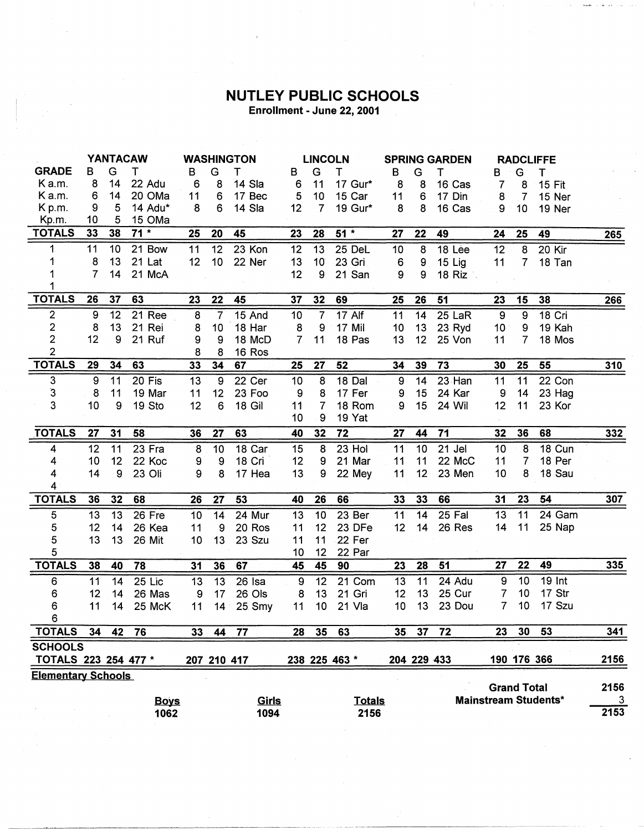## **NUTLEY PUBLIC SCHOOLS** Enrollment - June 22, 2001

|                           |                 |                 | <b>YANTACAW</b> |                 |                  | <b>WASHINGTON</b> |                  | <b>LINCOLN</b>  |               | <b>SPRING GARDEN</b> |                 |          |                 | <b>RADCLIFFE</b>   |                             |             |
|---------------------------|-----------------|-----------------|-----------------|-----------------|------------------|-------------------|------------------|-----------------|---------------|----------------------|-----------------|----------|-----------------|--------------------|-----------------------------|-------------|
| <b>GRADE</b>              | B               | G               | Т               | в               | G                | т                 | В                | G               | т             | B                    | G               | т        | в               | G                  | т                           |             |
| Ka.m.                     | 8               | 14              | 22 Adu          | 6               | 8                | 14 Sla            | 6                | 11              | 17 Gur*       | 8                    | 8               | 16 Cas   | 7               | 8                  | <b>15 Fit</b>               |             |
| Ka.m.                     | 6               | 14              | 20 OMa          | 11              | 6                | 17 Bec            | 5                | 10              | 15 Car        | 11                   | 6               | 17 Din   | 8               | $\overline{7}$     | 15 Ner                      |             |
| K p.m.                    | 9               | 5               | 14 Adu*         | 8               | 6                | 14 Sla            | 12               | $\overline{7}$  | 19 Gur*       | 8                    | 8               | 16 Cas   | 9               | 10 <sub>1</sub>    | 19 Ner                      |             |
| Kp.m.                     | 10              | 5               | 15 OMa          |                 |                  |                   |                  |                 |               |                      |                 |          |                 |                    |                             |             |
| <b>TOTALS</b>             | 33              | 38              | $71 *$          | 25              | 20               | 45                | 23               | 28              | $51*$         | 27                   | 22              | 49       | 24              | 25                 | 49                          | <u>265 </u> |
| 1.                        | 11              | 10 <sub>1</sub> | 21 Bow          | 11              | 12               | 23 Kon            | 12               | 13              | 25 DeL        | 10                   | 8               | 18 Lee   | 12              | 8                  | 20 Kir                      |             |
| 1                         | 8               | 13              | 21 Lat          | 12 <sub>2</sub> | 10 <sub>1</sub>  | 22 Ner            | 13               | 10 <sup>°</sup> | 23 Gri        | 6                    | 9               | 15 Lig   | 11              | $\overline{7}$     | 18 Tan                      |             |
|                           | 7               | 14              | 21 McA          |                 |                  |                   | 12               | 9               | 21 San        | 9                    | 9               | 18 Riz : |                 |                    |                             |             |
| 1                         |                 |                 |                 |                 |                  |                   |                  |                 |               |                      |                 |          |                 |                    |                             |             |
| <b>TOTALS</b>             | 26              | 37              | 63              | 23              | 22               | 45                | 37               | 32              | 69            | 25                   | 26              | 51       | 23              | 15                 | 38                          | 266         |
| $\overline{2}$            | 9               | 12              | 21 Ree          | 8               | 7                | 15 And            | 10               | $\overline{7}$  | 17 Alf        | 11                   | 14              | 25 LaR   | $\overline{9}$  | $\overline{9}$     | 18 Cri                      |             |
| $\overline{\mathbf{c}}$   | 8               | 13              | 21 Rei          | 8               | 10               | 18 Har            | 8                | 9               | 17 Mil        | 10 <sup>°</sup>      | 13              | 23 Ryd   | 10 <sup>1</sup> | 9                  | 19 Kah                      |             |
| $\overline{2}$            | 12              | 9               | 21 Ruf          | 9               | 9                | 18 McD            | $\overline{7}$   | 11              | 18 Pas        | 13                   | 12              | 25 Von   | 11              | $\overline{7}$     | 18 Mos                      |             |
| $\overline{2}$            |                 |                 |                 | 8               | 8                | 16 Ros            |                  |                 |               |                      |                 |          |                 |                    |                             |             |
| <b>TOTALS</b>             | 29              | 34              | 63              | 33              | 34               | 67                | 25               | 27              | 52            | 34                   | 39              | 73       | 30              | 25                 | 55                          | 310         |
| 3                         | 9               | 11              | 20 Fis          | 13              | 9                | 22 Cer            | 10               | 8               | 18 Dal        | 9                    | 14              | 23 Han   | 11              | 11                 | 22 Con                      |             |
| $\mathbf{3}$              | 8               | 11              | 19 Mar          | 11              | 12               | 23 Foo            | 9                | 8               | 17 Fer        | 9                    | 15              | 24 Kar   | 9               | 14                 | 23 Hag                      |             |
| 3                         | 10              | 9               | 19 Sto          | 12              | 6                | 18 Gil            | 11               | 7               | 18 Rom        | 9                    | 15              | 24 Wil   | 12              | 11                 | 23 Kor                      |             |
|                           |                 |                 |                 |                 |                  |                   | 10               | 9               | 19 Yat        |                      |                 |          |                 |                    |                             |             |
| <b>TOTALS</b>             | 27              | 31              | 58              | 36              | 27               | 63                | 40               | 32              | 72            | 27                   | 44              | 71       | 32              | 36                 | 68                          | 332         |
| 4                         | 12              | 11              | 23 Fra          | 8               | 10 <sup>1</sup>  | 18 Car            | 15               | 8               | 23 Hol        | 11                   | 10              | 21 Jel   | 10              | 8                  | 18 Cun                      |             |
| 4                         | 10              | 12              | 22 Koc          | 9               | $\boldsymbol{9}$ | 18 Cri            | 12               | 9               | 21 Mar        | 11                   | 11              | 22 McC   | 11              | 7                  | 18 Per                      |             |
| 4                         | 14              | 9               | 23 Oli          | 9               | 8                | 17 Hea            | 13               | 9               | 22 Mey        | 11                   | 12              | 23 Men   | 10              | 8                  | 18 Sau                      |             |
| 4                         |                 |                 |                 |                 |                  |                   |                  |                 |               |                      |                 |          |                 |                    |                             |             |
| <b>TOTALS</b>             | 36              | 32              | 68              | 26              | 27               | 53                | 40               | 26              | 66            | 33                   | 33              | 66       | 31              | 23                 | 54                          | 307         |
| $\overline{5}$            | $\overline{13}$ | 13              | 26 Fre          | 10              | $\overline{14}$  | 24 Mur            | 13               | 10              | 23 Ber        | 11                   | $\overline{14}$ | $25$ Fal | $\overline{13}$ | $\overline{11}$    | 24 Gam                      |             |
| 5                         | 12              | 14              | 26 Kea          | 11              | 9                | 20 Ros            | 11               | 12              | 23 DFe        | 12                   | 14              | 26 Res   | 14              | 11                 | 25 Nap                      |             |
| 5                         | 13              | 13              | 26 Mit          | 10              | 13               | 23 Szu            | 11               | 11              | 22 Fer        |                      |                 |          |                 |                    |                             |             |
| 5                         |                 |                 |                 |                 |                  |                   | 10               | 12              | 22 Par        |                      |                 |          |                 |                    |                             |             |
| <b>TOTALS</b>             | 38              | 40              | 78              | 31              | 36               | 67                | 45               | 45              | 90            | 23                   | 28              | 51       | 27              | 22                 | 49                          | 335         |
| 6                         | 11              | 14              | 25 Lic          | 13              | 13               | 26 Isa            | $\boldsymbol{9}$ | 12              | 21 Com        | 13                   | 11              | 24 Adu   | 9               | 10                 | $19$ Int                    |             |
| 6                         | 12              | 14              | 26 Mas          | 9               | 17               | 26 Ols            | 8                | 13              | 21 Gri        | 12                   | 13              | 25 Cur   | 7               | 10 <sub>1</sub>    | 17 Str                      |             |
| 6                         | 11              | 14              | 25 McK          | 11              | $14 -$           | 25. Smy           | 11               | 10              | 21 Vla        | 10                   | 13              | 23 Dou   | 7               | 10                 | 17 Szu                      |             |
| 6                         |                 |                 |                 |                 |                  |                   |                  |                 |               |                      |                 |          |                 |                    |                             |             |
| <b>TOTALS</b>             | 34              | 42              | 76              | 33              | 44               | 77                | 28               | 35              | 63            | 35 <sub>°</sub>      | 37              | 72       | 23              | 30                 | 53                          | 341         |
| <b>SCHOOLS</b>            |                 |                 |                 |                 |                  |                   |                  |                 |               |                      |                 |          |                 |                    |                             |             |
| TOTALS 223 254 477 *      |                 |                 |                 |                 |                  | 207 210 417       |                  |                 | 238 225 463 * |                      | 204 229 433     |          |                 | 190 176 366        |                             | 2156        |
| <b>Elementary Schools</b> |                 |                 |                 |                 |                  |                   |                  |                 |               |                      |                 |          |                 |                    |                             |             |
|                           |                 |                 |                 |                 |                  |                   |                  |                 |               |                      |                 |          |                 | <b>Grand Total</b> |                             | 2156        |
|                           |                 |                 | <b>Boys</b>     |                 |                  | Girls             |                  |                 | <b>Totals</b> |                      |                 |          |                 |                    | <b>Mainstream Students*</b> | 3           |
|                           |                 |                 | 1062            |                 |                  | 1094              |                  |                 | 2156          |                      |                 |          |                 |                    |                             | 2153        |